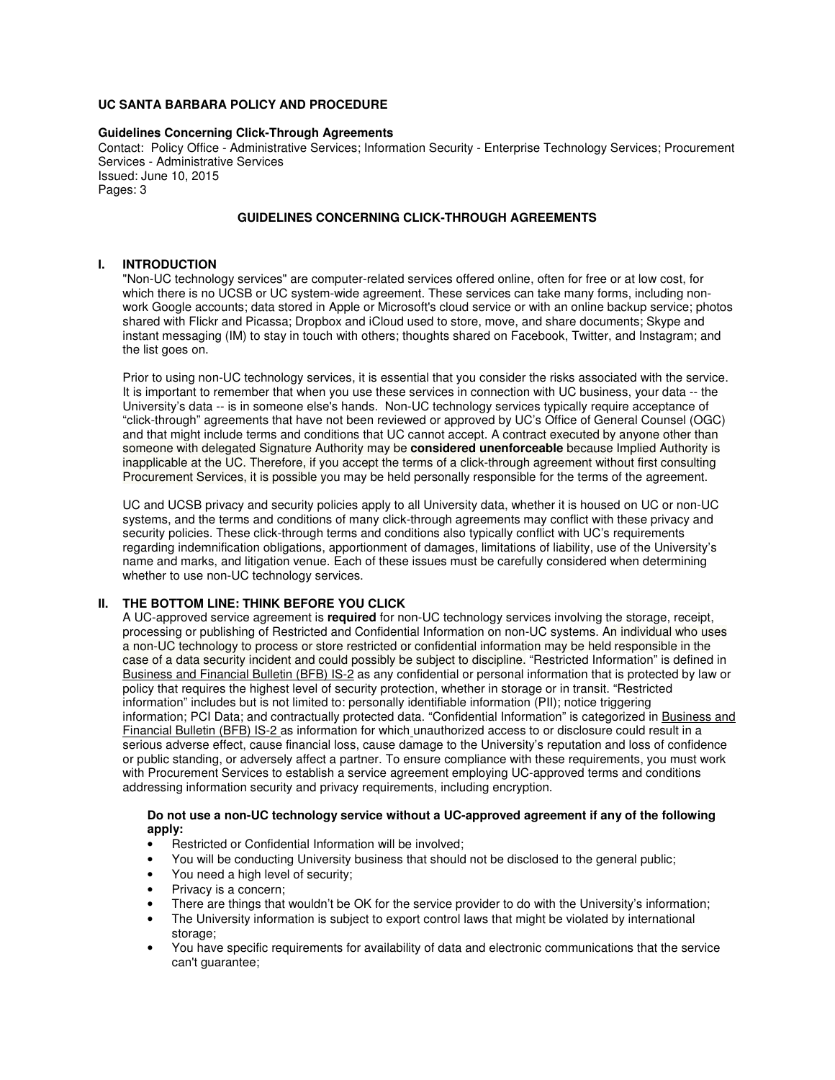## **UC SANTA BARBARA POLICY AND PROCEDURE**

#### **Guidelines Concerning Click-Through Agreements**

Contact: Policy Office - Administrative Services; Information Security - Enterprise Technology Services; Procurement Services - Administrative Services Issued: June 10, 2015 Pages: 3

# **GUIDELINES CONCERNING CLICK-THROUGH AGREEMENTS**

#### **I. INTRODUCTION**

"Non-UC technology services" are computer-related services offered online, often for free or at low cost, for which there is no UCSB or UC system-wide agreement. These services can take many forms, including nonwork Google accounts; data stored in Apple or Microsoft's cloud service or with an online backup service; photos shared with Flickr and Picassa; Dropbox and iCloud used to store, move, and share documents; Skype and instant messaging (IM) to stay in touch with others; thoughts shared on Facebook, Twitter, and Instagram; and the list goes on.

Prior to using non-UC technology services, it is essential that you consider the risks associated with the service. It is important to remember that when you use these services in connection with UC business, your data -- the University's data -- is in someone else's hands. Non-UC technology services typically require acceptance of "click-through" agreements that have not been reviewed or approved by UC's Office of General Counsel (OGC) and that might include terms and conditions that UC cannot accept. A contract executed by anyone other than someone with delegated Signature Authority may be **considered unenforceable** because Implied Authority is inapplicable at the UC. Therefore, if you accept the terms of a click-through agreement without first consulting Procurement Services, it is possible you may be held personally responsible for the terms of the agreement.

UC and UCSB privacy and security policies apply to all University data, whether it is housed on UC or non-UC systems, and the terms and conditions of many click-through agreements may conflict with these privacy and security policies. These click-through terms and conditions also typically conflict with UC's requirements regarding indemnification obligations, apportionment of damages, limitations of liability, use of the University's name and marks, and litigation venue. Each of these issues must be carefully considered when determining whether to use non-UC technology services.

# **II. THE BOTTOM LINE: THINK BEFORE YOU CLICK**

A UC-approved service agreement is **required** for non-UC technology services involving the storage, receipt, processing or publishing of Restricted and Confidential Information on non-UC systems. An individual who uses a non-UC technology to process or store restricted or confidential information may be held responsible in the case of a data security incident and could possibly be subject to discipline. "Restricted Information" is defined in Business and Financial Bulletin (BFB) IS-2 as any confidential or personal information that is protected by law or policy that requires the highest level of security protection, whether in storage or in transit. "Restricted information" includes but is not limited to: personally identifiable information (PII); notice triggering information; PCI Data; and contractually protected data. "Confidential Information" is categorized in Business and Financial Bulletin (BFB) IS-2 as information for which unauthorized access to or disclosure could result in a serious adverse effect, cause financial loss, cause damage to the University's reputation and loss of confidence or public standing, or adversely affect a partner. To ensure compliance with these requirements, you must work with Procurement Services to establish a service agreement employing UC-approved terms and conditions addressing information security and privacy requirements, including encryption.

#### **Do not use a non-UC technology service without a UC-approved agreement if any of the following apply:**

- Restricted or Confidential Information will be involved;
- You will be conducting University business that should not be disclosed to the general public;
- You need a high level of security;
- Privacy is a concern:
- There are things that wouldn't be OK for the service provider to do with the University's information;
- The University information is subject to export control laws that might be violated by international storage:
- You have specific requirements for availability of data and electronic communications that the service can't guarantee;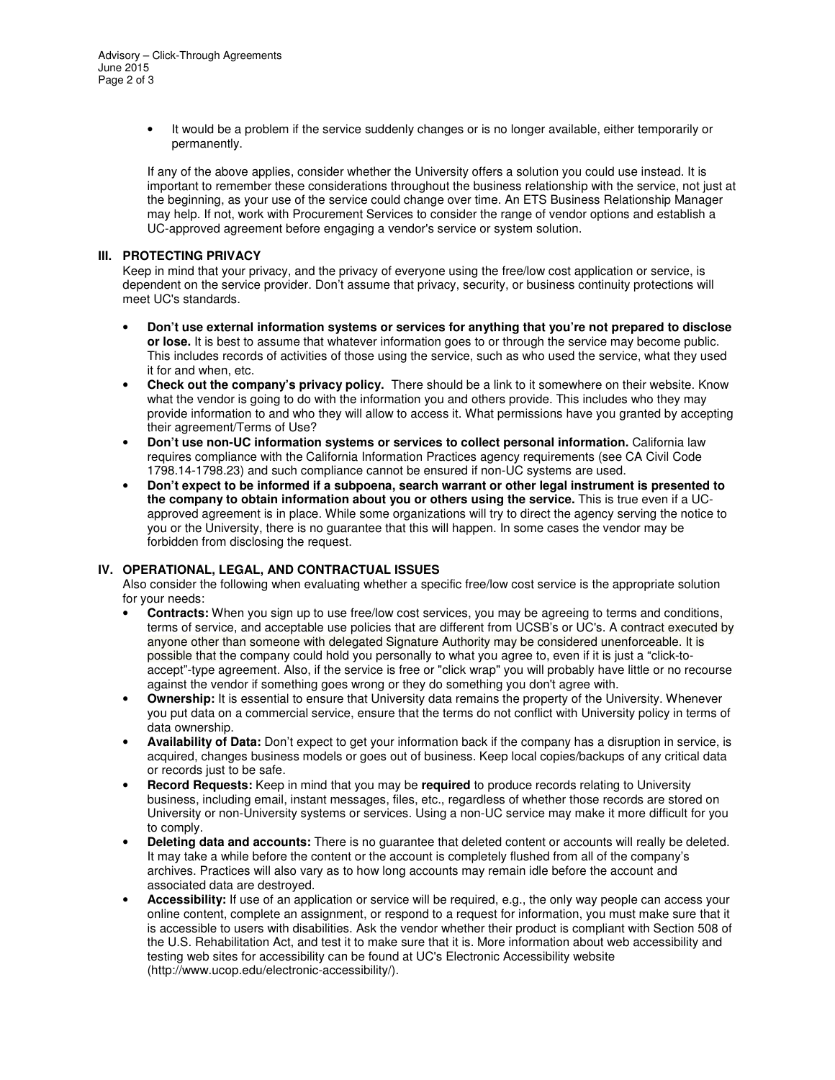• It would be a problem if the service suddenly changes or is no longer available, either temporarily or permanently.

If any of the above applies, consider whether the University offers a solution you could use instead. It is important to remember these considerations throughout the business relationship with the service, not just at the beginning, as your use of the service could change over time. An ETS Business Relationship Manager may help. If not, work with Procurement Services to consider the range of vendor options and establish a UC-approved agreement before engaging a vendor's service or system solution.

#### **III. PROTECTING PRIVACY**

Keep in mind that your privacy, and the privacy of everyone using the free/low cost application or service, is dependent on the service provider. Don't assume that privacy, security, or business continuity protections will meet UC's standards.

- **Don't use external information systems or services for anything that you're not prepared to disclose or lose.** It is best to assume that whatever information goes to or through the service may become public. This includes records of activities of those using the service, such as who used the service, what they used it for and when, etc.
- **Check out the company's privacy policy.** There should be a link to it somewhere on their website. Know what the vendor is going to do with the information you and others provide. This includes who they may provide information to and who they will allow to access it. What permissions have you granted by accepting their agreement/Terms of Use?
- **Don't use non-UC information systems or services to collect personal information.** California law requires compliance with the California Information Practices agency requirements (see CA Civil Code 1798.14-1798.23) and such compliance cannot be ensured if non-UC systems are used.
- **Don't expect to be informed if a subpoena, search warrant or other legal instrument is presented to the company to obtain information about you or others using the service.** This is true even if a UCapproved agreement is in place. While some organizations will try to direct the agency serving the notice to you or the University, there is no guarantee that this will happen. In some cases the vendor may be forbidden from disclosing the request.

### **IV. OPERATIONAL, LEGAL, AND CONTRACTUAL ISSUES**

Also consider the following when evaluating whether a specific free/low cost service is the appropriate solution for your needs:

- **Contracts:** When you sign up to use free/low cost services, you may be agreeing to terms and conditions, terms of service, and acceptable use policies that are different from UCSB's or UC's. A contract executed by anyone other than someone with delegated Signature Authority may be considered unenforceable. It is possible that the company could hold you personally to what you agree to, even if it is just a "click-toaccept"-type agreement. Also, if the service is free or "click wrap" you will probably have little or no recourse against the vendor if something goes wrong or they do something you don't agree with.
- **Ownership:** It is essential to ensure that University data remains the property of the University. Whenever you put data on a commercial service, ensure that the terms do not conflict with University policy in terms of data ownership.
- **Availability of Data:** Don't expect to get your information back if the company has a disruption in service, is acquired, changes business models or goes out of business. Keep local copies/backups of any critical data or records just to be safe.
- **Record Requests:** Keep in mind that you may be **required** to produce records relating to University business, including email, instant messages, files, etc., regardless of whether those records are stored on University or non-University systems or services. Using a non-UC service may make it more difficult for you to comply.
- **Deleting data and accounts:** There is no guarantee that deleted content or accounts will really be deleted. It may take a while before the content or the account is completely flushed from all of the company's archives. Practices will also vary as to how long accounts may remain idle before the account and associated data are destroyed.
- **Accessibility:** If use of an application or service will be required, e.g., the only way people can access your online content, complete an assignment, or respond to a request for information, you must make sure that it is accessible to users with disabilities. Ask the vendor whether their product is compliant with Section 508 of the U.S. Rehabilitation Act, and test it to make sure that it is. More information about web accessibility and testing web sites for accessibility can be found at UC's Electronic Accessibility website (http://www.ucop.edu/electronic-accessibility/).